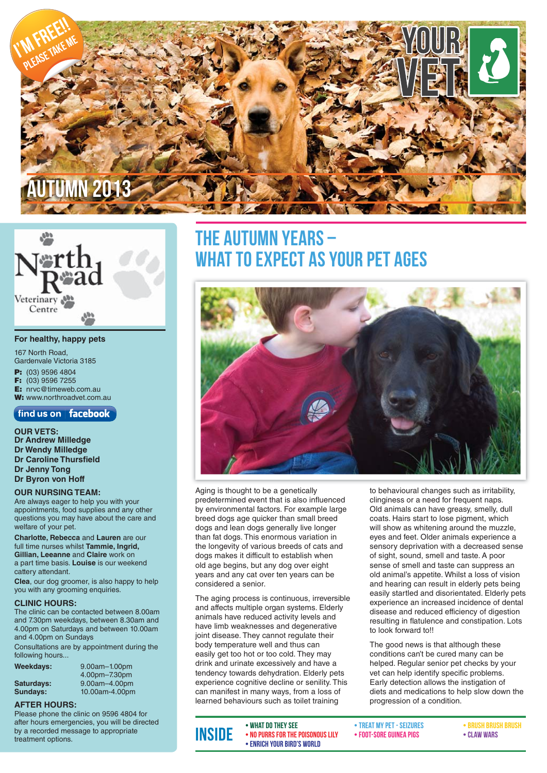



#### **For healthy, happy pets**

167 North Road, Gardenvale Victoria 3185 **P:** (03) 9596 4804 **F:** (03) 9596 7255 **E:** nrvc@timeweb.com.au

**W:** www.northroadvet.com.au find us on  $\vert$  facebook

**OUR VETS: Dr Andrew Milledge Dr Wendy Milledge Dr Caroline Thursfield Dr Jenny Tong Dr Byron von Hoff**

#### **OUR NURSING TEAM:**

Are always eager to help you with your appointments, food supplies and any other questions you may have about the care and welfare of your pet.

**Charlotte, Rebecca** and **Lauren** are our full time nurses whilst **Tammie, Ingrid, Gillian, Leeanne** and **Claire** work on a part time basis. **Louise** is our weekend cattery attendant.

**Clea**, our dog groomer, is also happy to help you with any grooming enquiries.

#### **CLINIC HOURS:**

The clinic can be contacted between 8.00am and 7.30pm weekdays, between 8.30am and 4.00pm on Saturdays and between 10.00am and 4.00pm on Sundays

Consultations are by appointment during the following hours...

|  |  | Weekdays: |  |  |
|--|--|-----------|--|--|
|--|--|-----------|--|--|

**Weekdays:** 9.00am–1.00pm 4.00pm–7.30pm<br>9.00am–4.00pm<br/>9.00am–4.00pm **Saturdays:** 9.00am–4.00pm<br>**Sundays:** 10.00am-4.00pm **Sundays:** 10.00am-4.00pm

#### **AFTER HOURS:**

Please phone the clinic on 9596 4804 for after hours emergencies, you will be directed by a recorded message to appropriate treatment options.

### THE AUTUMN YEARS -HAT TO EXPECT AS YOUR PET AGES



Aging is thought to be a genetically predetermined event that is also influenced by environmental factors. For example large breed dogs age quicker than small breed dogs and lean dogs generally live longer than fat dogs. This enormous variation in the longevity of various breeds of cats and dogs makes it difficult to establish when old age begins, but any dog over eight years and any cat over ten years can be considered a senior.

The aging process is continuous, irreversible and affects multiple organ systems. Elderly animals have reduced activity levels and have limb weaknesses and degenerative joint disease. They cannot regulate their body temperature well and thus can easily get too hot or too cold. They may drink and urinate excessively and have a tendency towards dehydration. Elderly pets experience cognitive decline or senility. This can manifest in many ways, from a loss of learned behaviours such as toilet training

to behavioural changes such as irritability, clinginess or a need for frequent naps. Old animals can have greasy, smelly, dull coats. Hairs start to lose pigment, which will show as whitening around the muzzle, eyes and feet. Older animals experience a sensory deprivation with a decreased sense of sight, sound, smell and taste. A poor sense of smell and taste can suppress an old animal's appetite. Whilst a loss of vision and hearing can result in elderly pets being easily startled and disorientated. Elderly pets experience an increased incidence of dental disease and reduced efficiency of digestion resulting in flatulence and constipation. Lots to look forward to!!

The good news is that although these conditions can't be cured many can be helped. Regular senior pet checks by your vet can help identify specific problems. Early detection allows the instigation of diets and medications to help slow down the progression of a condition.

• What do they see • No purrs for the poisonous lily • Claw wars Inside • Enrich your bird's world

• Treat my pet - seizures • Foot-sore guinea pigs

• Brush brush brush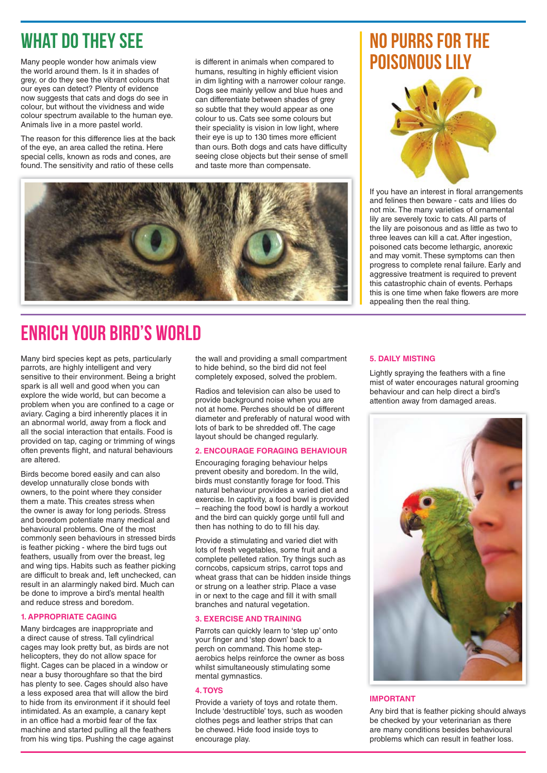## WHAT DO THEY SEE NO PURRS FOR THE

Many people wonder how animals view the world around them. Is it in shades of grey, or do they see the vibrant colours that our eyes can detect? Plenty of evidence now suggests that cats and dogs do see in colour, but without the vividness and wide colour spectrum available to the human eye. Animals live in a more pastel world.

The reason for this difference lies at the back of the eye, an area called the retina. Here special cells, known as rods and cones, are found. The sensitivity and ratio of these cells

is different in animals when compared to humans, resulting in highly efficient vision in dim lighting with a narrower colour range. Dogs see mainly yellow and blue hues and can differentiate between shades of grey so subtle that they would appear as one colour to us. Cats see some colours but their speciality is vision in low light, where their eye is up to 130 times more efficient than ours. Both dogs and cats have difficulty seeing close objects but their sense of smell and taste more than compensate.



## Enrich Your Bird's World

Many bird species kept as pets, particularly parrots, are highly intelligent and very sensitive to their environment. Being a bright spark is all well and good when you can explore the wide world, but can become a problem when you are confined to a cage or aviary. Caging a bird inherently places it in an abnormal world, away from a flock and all the social interaction that entails. Food is provided on tap, caging or trimming of wings often prevents flight, and natural behaviours are altered.

Birds become bored easily and can also develop unnaturally close bonds with owners, to the point where they consider them a mate. This creates stress when the owner is away for long periods. Stress and boredom potentiate many medical and behavioural problems. One of the most commonly seen behaviours in stressed birds is feather picking - where the bird tugs out feathers, usually from over the breast, leg and wing tips. Habits such as feather picking are difficult to break and, left unchecked, can result in an alarmingly naked bird. Much can be done to improve a bird's mental health and reduce stress and boredom.

### **1. APPROPRIATE CAGING**

Many birdcages are inappropriate and a direct cause of stress. Tall cylindrical cages may look pretty but, as birds are not helicopters, they do not allow space for flight. Cages can be placed in a window or near a busy thoroughfare so that the bird has plenty to see. Cages should also have a less exposed area that will allow the bird to hide from its environment if it should feel intimidated. As an example, a canary kept in an office had a morbid fear of the fax machine and started pulling all the feathers from his wing tips. Pushing the cage against the wall and providing a small compartment to hide behind, so the bird did not feel completely exposed, solved the problem.

Radios and television can also be used to provide background noise when you are not at home. Perches should be of different diameter and preferably of natural wood with lots of bark to be shredded off. The cage layout should be changed regularly.

### **2. ENCOURAGE FORAGING BEHAVIOUR**

Encouraging foraging behaviour helps prevent obesity and boredom. In the wild, birds must constantly forage for food. This natural behaviour provides a varied diet and exercise. In captivity, a food bowl is provided – reaching the food bowl is hardly a workout and the bird can quickly gorge until full and then has nothing to do to fill his day.

Provide a stimulating and varied diet with lots of fresh vegetables, some fruit and a complete pelleted ration. Try things such as corncobs, capsicum strips, carrot tops and wheat grass that can be hidden inside things or strung on a leather strip. Place a vase in or next to the cage and fill it with small branches and natural vegetation.

#### **3. EXERCISE AND TRAINING**

Parrots can quickly learn to 'step up' onto your finger and 'step down' back to a perch on command. This home stepaerobics helps reinforce the owner as boss whilst simultaneously stimulating some mental gymnastics.

#### **4. TOYS**

Provide a variety of toys and rotate them. Include 'destructible' toys, such as wooden clothes pegs and leather strips that can be chewed. Hide food inside toys to encourage play.

# poisonous lily



If you have an interest in floral arrangements and felines then beware - cats and lilies do not mix. The many varieties of ornamental lily are severely toxic to cats. All parts of the lily are poisonous and as little as two to three leaves can kill a cat. After ingestion, poisoned cats become lethargic, anorexic and may vomit. These symptoms can then progress to complete renal failure. Early and aggressive treatment is required to prevent this catastrophic chain of events. Perhaps this is one time when fake flowers are more appealing then the real thing.

#### **5. DAILY MISTING**

Lightly spraying the feathers with a fine mist of water encourages natural grooming behaviour and can help direct a bird's attention away from damaged areas.



#### **IMPORTANT**

Any bird that is feather picking should always be checked by your veterinarian as there are many conditions besides behavioural problems which can result in feather loss.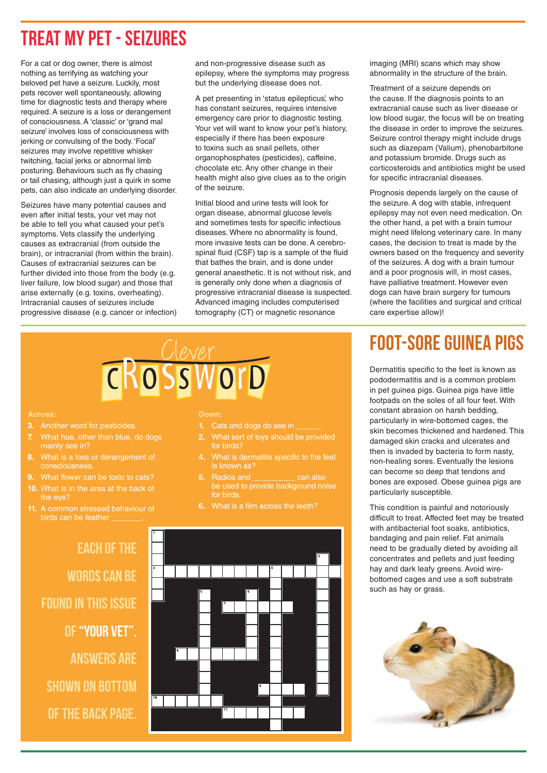### Treat my Pet - Seizures

For a cat or dog owner, there is almost nothing as terrifying as watching your beloved pet have a seizure. Luckily, most pets recover well spontaneously, allowing time for diagnostic tests and therapy where required. A seizure is a loss or derangement of consciousness. A 'classic' or 'grand mal seizure' involves loss of consciousness with jerking or convulsing of the body. 'Focal' seizures may involve repetitive whisker twitching, facial jerks or abnormal limb posturing. Behaviours such as fly chasing or tail chasing, although just a quirk in some pets, can also indicate an underlying disorder.

Seizures have many potential causes and even after initial tests, your vet may not be able to tell you what caused your pet's symptoms. Vets classify the underlying causes as extracranial (from outside the brain), or intracranial (from within the brain). Causes of extracranial seizures can be further divided into those from the body (e.g. liver failure, low blood sugar) and those that arise externally (e.g. toxins, overheating). Intracranial causes of seizures include progressive disease (e.g. cancer or infection) and non-progressive disease such as epilepsy, where the symptoms may progress but the underlying disease does not.

A pet presenting in 'status epilepticus', who has constant seizures, requires intensive emergency care prior to diagnostic testing. Your vet will want to know your pet's history, especially if there has been exposure to toxins such as snail pellets, other organophosphates (pesticides), caffeine, chocolate etc. Any other change in their health might also give clues as to the origin of the seizure.

Initial blood and urine tests will look for organ disease, abnormal glucose levels and sometimes tests for specific infectious diseases. Where no abnormality is found, more invasive tests can be done. A cerebrospinal fluid (CSF) tap is a sample of the fluid that bathes the brain, and is done under general anaesthetic. It is not without risk, and is generally only done when a diagnosis of progressive intracranial disease is suspected. Advanced imaging includes computerised tomography (CT) or magnetic resonance

imaging (MRI) scans which may show abnormality in the structure of the brain.

Treatment of a seizure depends on the cause. If the diagnosis points to an extracranial cause such as liver disease or low blood sugar, the focus will be on treating the disease in order to improve the seizures. Seizure control therapy might include drugs such as diazepam (Valium), phenobarbitone and potassium bromide. Drugs such as corticosteroids and antibiotics might be used for specific intracranial diseases.

Prognosis depends largely on the cause of the seizure. A dog with stable, infrequent epilepsy may not even need medication. On the other hand, a pet with a brain tumour might need lifelong veterinary care. In many cases, the decision to treat is made by the owners based on the frequency and severity of the seizures. A dog with a brain tumour and a poor prognosis will, in most cases, have palliative treatment. However even dogs can have brain surgery for tumours (where the facilities and surgical and critical care expertise allow)!

# Foot-sore Guinea pigs

Dermatitis specific to the feet is known as pododermatitis and is a common problem in pet guinea pigs. Guinea pigs have little footpads on the soles of all four feet. With constant abrasion on harsh bedding, particularly in wire-bottomed cages, the skin becomes thickened and hardened. This damaged skin cracks and ulcerates and then is invaded by bacteria to form nasty, non-healing sores. Eventually the lesions can become so deep that tendons and bones are exposed. Obese guinea pigs are particularly susceptible.

This condition is painful and notoriously difficult to treat. Affected feet may be treated with antibacterial foot soaks, antibiotics, bandaging and pain relief. Fat animals need to be gradually dieted by avoiding all concentrates and pellets and just feeding hay and dark leafy greens. Avoid wirebottomed cages and use a soft substrate such as hay or grass.



- 
- **7.** What hue, other than blue, do dogs mainly see in?
- **8.** What is a loss or derangement of consciousness.
- What flower can be toxic to cats?
- **10.** What is in the area at the back of the eye?
- **11.** A common stressed behaviour of birds can be feather

Each of the WORDS CAN BE found in this issue of "Your vet". Answers are SHOWN ON BOTTOM of the back page.

#### **Down:**

- **1.** Cats and dogs do see in
- for birds?
- is known as?
- **5.** Radios and **can also** be used to provide background noise for birds.
- **6.** What is a film across the teeth?